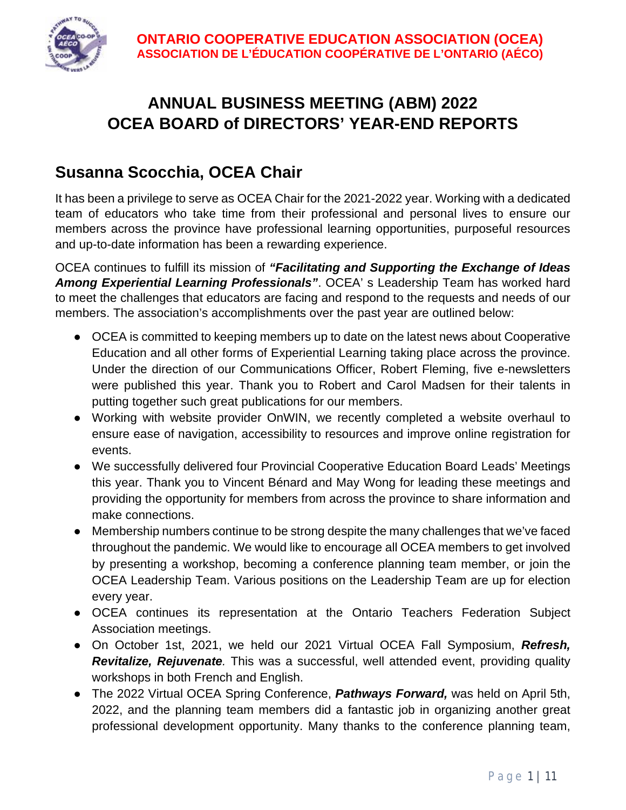

# **ANNUAL BUSINESS MEETING (ABM) 2022 OCEA BOARD of DIRECTORS' YEAR-END REPORTS**

## **Susanna Scocchia, OCEA Chair**

It has been a privilege to serve as OCEA Chair for the 2021-2022 year. Working with a dedicated team of educators who take time from their professional and personal lives to ensure our members across the province have professional learning opportunities, purposeful resources and up-to-date information has been a rewarding experience.

OCEA continues to fulfill its mission of *"Facilitating and Supporting the Exchange of Ideas Among Experiential Learning Professionals"*. OCEA' s Leadership Team has worked hard to meet the challenges that educators are facing and respond to the requests and needs of our members. The association's accomplishments over the past year are outlined below:

- OCEA is committed to keeping members up to date on the latest news about Cooperative Education and all other forms of Experiential Learning taking place across the province. Under the direction of our Communications Officer, Robert Fleming, five e-newsletters were published this year. Thank you to Robert and Carol Madsen for their talents in putting together such great publications for our members.
- Working with website provider OnWIN, we recently completed a website overhaul to ensure ease of navigation, accessibility to resources and improve online registration for events.
- We successfully delivered four Provincial Cooperative Education Board Leads' Meetings this year. Thank you to Vincent Bénard and May Wong for leading these meetings and providing the opportunity for members from across the province to share information and make connections.
- Membership numbers continue to be strong despite the many challenges that we've faced throughout the pandemic. We would like to encourage all OCEA members to get involved by presenting a workshop, becoming a conference planning team member, or join the OCEA Leadership Team. Various positions on the Leadership Team are up for election every year.
- OCEA continues its representation at the Ontario Teachers Federation Subject Association meetings.
- On October 1st, 2021, we held our 2021 Virtual OCEA Fall Symposium, *Refresh, Revitalize, Rejuvenate.* This was a successful, well attended event, providing quality workshops in both French and English.
- The 2022 Virtual OCEA Spring Conference, *Pathways Forward,* was held on April 5th, 2022, and the planning team members did a fantastic job in organizing another great professional development opportunity. Many thanks to the conference planning team,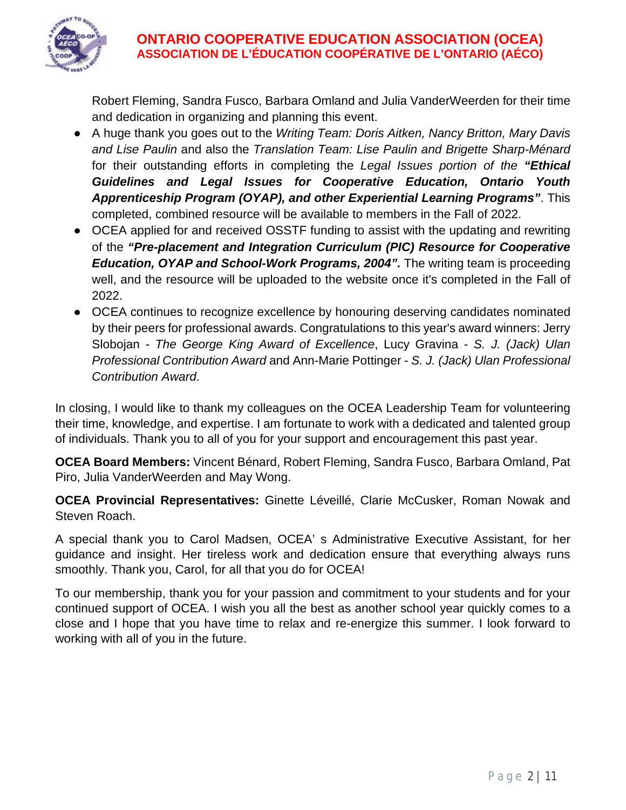

Robert Fleming, Sandra Fusco, Barbara Omland and Julia VanderWeerden for their time and dedication in organizing and planning this event.

- A huge thank you goes out to the *Writing Team: Doris Aitken, Nancy Britton, Mary Davis and Lise Paulin* and also the *Translation Team: Lise Paulin and Brigette Sharp-Ménard* for their outstanding efforts in completing the *Legal Issues portion of the "Ethical Guidelines and Legal Issues for Cooperative Education, Ontario Youth Apprenticeship Program (OYAP), and other Experiential Learning Programs"*. This completed, combined resource will be available to members in the Fall of 2022.
- OCEA applied for and received OSSTF funding to assist with the updating and rewriting of the *"Pre-placement and Integration Curriculum (PIC) Resource for Cooperative Education, OYAP and School-Work Programs, 2004".* The writing team is proceeding well, and the resource will be uploaded to the website once it's completed in the Fall of 2022.
- OCEA continues to recognize excellence by honouring deserving candidates nominated by their peers for professional awards. Congratulations to this year's award winners: Jerry Slobojan - *The George King Award of Excellence*, Lucy Gravina - *S. J. (Jack) Ulan Professional Contribution Award* and Ann-Marie Pottinger - *S. J. (Jack) Ulan Professional Contribution Award*.

In closing, I would like to thank my colleagues on the OCEA Leadership Team for volunteering their time, knowledge, and expertise. I am fortunate to work with a dedicated and talented group of individuals. Thank you to all of you for your support and encouragement this past year.

**OCEA Board Members:** Vincent Bénard, Robert Fleming, Sandra Fusco, Barbara Omland, Pat Piro, Julia VanderWeerden and May Wong.

**OCEA Provincial Representatives:** Ginette Léveillé, Clarie McCusker, Roman Nowak and Steven Roach.

A special thank you to Carol Madsen, OCEA' s Administrative Executive Assistant, for her guidance and insight. Her tireless work and dedication ensure that everything always runs smoothly. Thank you, Carol, for all that you do for OCEA!

To our membership, thank you for your passion and commitment to your students and for your continued support of OCEA. I wish you all the best as another school year quickly comes to a close and I hope that you have time to relax and re-energize this summer. I look forward to working with all of you in the future.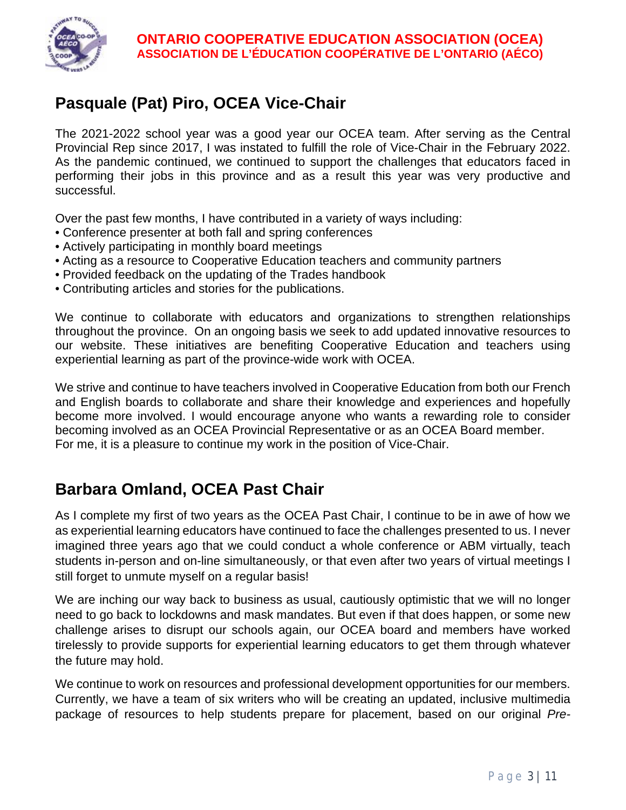

# **Pasquale (Pat) Piro, OCEA Vice-Chair**

The 2021-2022 school year was a good year our OCEA team. After serving as the Central Provincial Rep since 2017, I was instated to fulfill the role of Vice-Chair in the February 2022. As the pandemic continued, we continued to support the challenges that educators faced in performing their jobs in this province and as a result this year was very productive and successful.

Over the past few months, I have contributed in a variety of ways including:

- Conference presenter at both fall and spring conferences
- Actively participating in monthly board meetings
- Acting as a resource to Cooperative Education teachers and community partners
- Provided feedback on the updating of the Trades handbook
- Contributing articles and stories for the publications.

We continue to collaborate with educators and organizations to strengthen relationships throughout the province. On an ongoing basis we seek to add updated innovative resources to our website. These initiatives are benefiting Cooperative Education and teachers using experiential learning as part of the province-wide work with OCEA.

We strive and continue to have teachers involved in Cooperative Education from both our French and English boards to collaborate and share their knowledge and experiences and hopefully become more involved. I would encourage anyone who wants a rewarding role to consider becoming involved as an OCEA Provincial Representative or as an OCEA Board member. For me, it is a pleasure to continue my work in the position of Vice-Chair.

### **Barbara Omland, OCEA Past Chair**

As I complete my first of two years as the OCEA Past Chair, I continue to be in awe of how we as experiential learning educators have continued to face the challenges presented to us. I never imagined three years ago that we could conduct a whole conference or ABM virtually, teach students in-person and on-line simultaneously, or that even after two years of virtual meetings I still forget to unmute myself on a regular basis!

We are inching our way back to business as usual, cautiously optimistic that we will no longer need to go back to lockdowns and mask mandates. But even if that does happen, or some new challenge arises to disrupt our schools again, our OCEA board and members have worked tirelessly to provide supports for experiential learning educators to get them through whatever the future may hold.

We continue to work on resources and professional development opportunities for our members. Currently, we have a team of six writers who will be creating an updated, inclusive multimedia package of resources to help students prepare for placement, based on our original *Pre-*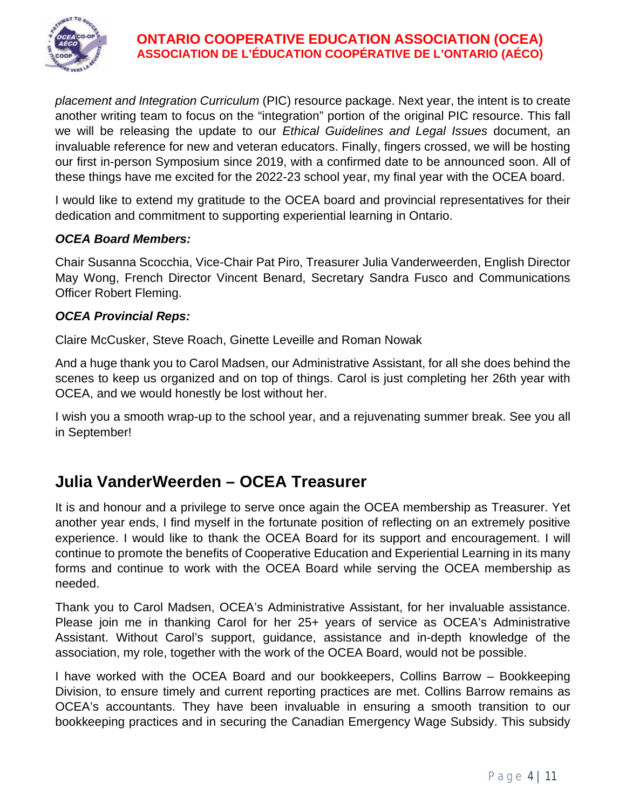

*placement and Integration Curriculum* (PIC) resource package. Next year, the intent is to create another writing team to focus on the "integration" portion of the original PIC resource. This fall we will be releasing the update to our *Ethical Guidelines and Legal Issues* document, an invaluable reference for new and veteran educators. Finally, fingers crossed, we will be hosting our first in-person Symposium since 2019, with a confirmed date to be announced soon. All of these things have me excited for the 2022-23 school year, my final year with the OCEA board.

I would like to extend my gratitude to the OCEA board and provincial representatives for their dedication and commitment to supporting experiential learning in Ontario.

#### *OCEA Board Members:*

Chair Susanna Scocchia, Vice-Chair Pat Piro, Treasurer Julia Vanderweerden, English Director May Wong, French Director Vincent Benard, Secretary Sandra Fusco and Communications Officer Robert Fleming.

#### *OCEA Provincial Reps:*

Claire McCusker, Steve Roach, Ginette Leveille and Roman Nowak

And a huge thank you to Carol Madsen, our Administrative Assistant, for all she does behind the scenes to keep us organized and on top of things. Carol is just completing her 26th year with OCEA, and we would honestly be lost without her.

I wish you a smooth wrap-up to the school year, and a rejuvenating summer break. See you all in September!

### **Julia VanderWeerden – OCEA Treasurer**

It is and honour and a privilege to serve once again the OCEA membership as Treasurer. Yet another year ends, I find myself in the fortunate position of reflecting on an extremely positive experience. I would like to thank the OCEA Board for its support and encouragement. I will continue to promote the benefits of Cooperative Education and Experiential Learning in its many forms and continue to work with the OCEA Board while serving the OCEA membership as needed.

Thank you to Carol Madsen, OCEA's Administrative Assistant, for her invaluable assistance. Please join me in thanking Carol for her 25+ years of service as OCEA's Administrative Assistant. Without Carol's support, guidance, assistance and in-depth knowledge of the association, my role, together with the work of the OCEA Board, would not be possible.

I have worked with the OCEA Board and our bookkeepers, Collins Barrow – Bookkeeping Division, to ensure timely and current reporting practices are met. Collins Barrow remains as OCEA's accountants. They have been invaluable in ensuring a smooth transition to our bookkeeping practices and in securing the Canadian Emergency Wage Subsidy. This subsidy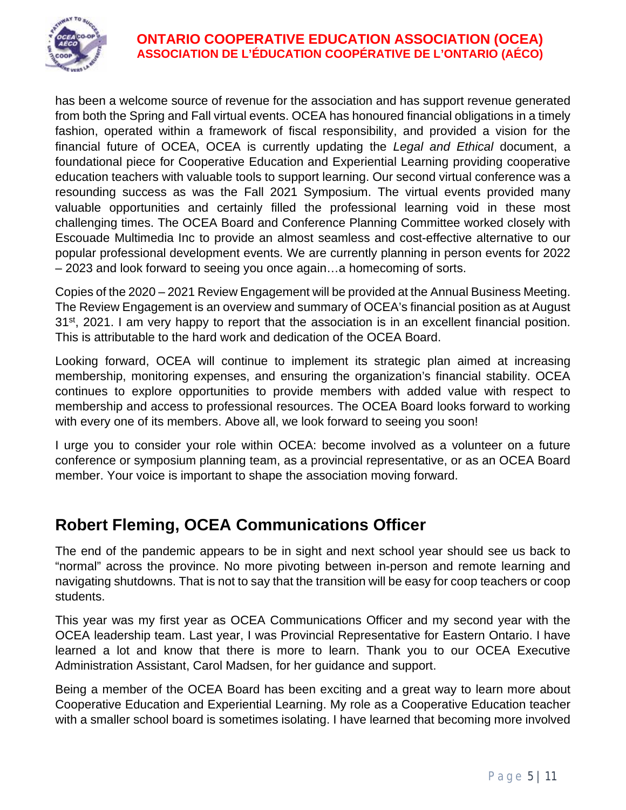

has been a welcome source of revenue for the association and has support revenue generated from both the Spring and Fall virtual events. OCEA has honoured financial obligations in a timely fashion, operated within a framework of fiscal responsibility, and provided a vision for the financial future of OCEA, OCEA is currently updating the *Legal and Ethical* document, a foundational piece for Cooperative Education and Experiential Learning providing cooperative education teachers with valuable tools to support learning. Our second virtual conference was a resounding success as was the Fall 2021 Symposium. The virtual events provided many valuable opportunities and certainly filled the professional learning void in these most challenging times. The OCEA Board and Conference Planning Committee worked closely with Escouade Multimedia Inc to provide an almost seamless and cost-effective alternative to our popular professional development events. We are currently planning in person events for 2022 – 2023 and look forward to seeing you once again…a homecoming of sorts.

Copies of the 2020 – 2021 Review Engagement will be provided at the Annual Business Meeting. The Review Engagement is an overview and summary of OCEA's financial position as at August 31<sup>st</sup>, 2021. I am very happy to report that the association is in an excellent financial position. This is attributable to the hard work and dedication of the OCEA Board.

Looking forward, OCEA will continue to implement its strategic plan aimed at increasing membership, monitoring expenses, and ensuring the organization's financial stability. OCEA continues to explore opportunities to provide members with added value with respect to membership and access to professional resources. The OCEA Board looks forward to working with every one of its members. Above all, we look forward to seeing you soon!

I urge you to consider your role within OCEA: become involved as a volunteer on a future conference or symposium planning team, as a provincial representative, or as an OCEA Board member. Your voice is important to shape the association moving forward.

### **Robert Fleming, OCEA Communications Officer**

The end of the pandemic appears to be in sight and next school year should see us back to "normal" across the province. No more pivoting between in-person and remote learning and navigating shutdowns. That is not to say that the transition will be easy for coop teachers or coop students.

This year was my first year as OCEA Communications Officer and my second year with the OCEA leadership team. Last year, I was Provincial Representative for Eastern Ontario. I have learned a lot and know that there is more to learn. Thank you to our OCEA Executive Administration Assistant, Carol Madsen, for her guidance and support.

Being a member of the OCEA Board has been exciting and a great way to learn more about Cooperative Education and Experiential Learning. My role as a Cooperative Education teacher with a smaller school board is sometimes isolating. I have learned that becoming more involved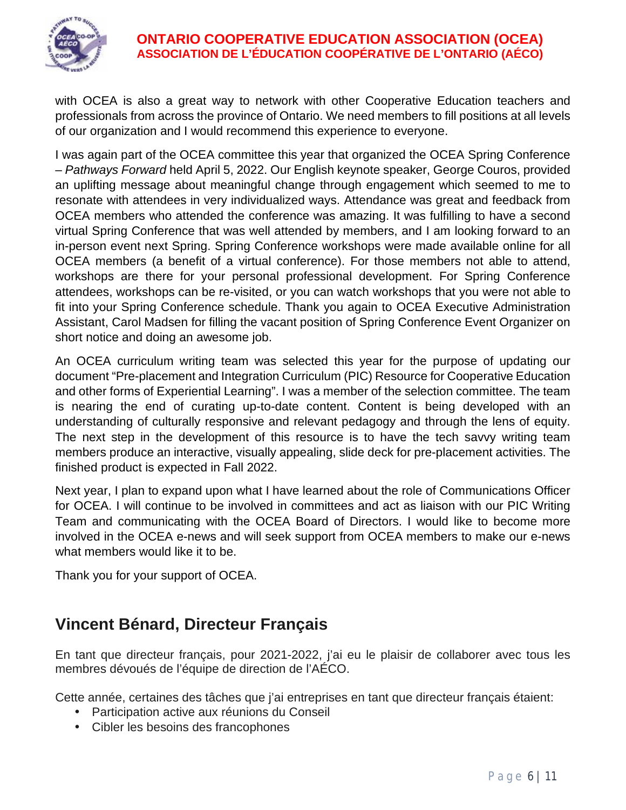

with OCEA is also a great way to network with other Cooperative Education teachers and professionals from across the province of Ontario. We need members to fill positions at all levels of our organization and I would recommend this experience to everyone.

I was again part of the OCEA committee this year that organized the OCEA Spring Conference – *Pathways Forward* held April 5, 2022. Our English keynote speaker, George Couros, provided an uplifting message about meaningful change through engagement which seemed to me to resonate with attendees in very individualized ways. Attendance was great and feedback from OCEA members who attended the conference was amazing. It was fulfilling to have a second virtual Spring Conference that was well attended by members, and I am looking forward to an in-person event next Spring. Spring Conference workshops were made available online for all OCEA members (a benefit of a virtual conference). For those members not able to attend, workshops are there for your personal professional development. For Spring Conference attendees, workshops can be re-visited, or you can watch workshops that you were not able to fit into your Spring Conference schedule. Thank you again to OCEA Executive Administration Assistant, Carol Madsen for filling the vacant position of Spring Conference Event Organizer on short notice and doing an awesome job.

An OCEA curriculum writing team was selected this year for the purpose of updating our document "Pre-placement and Integration Curriculum (PIC) Resource for Cooperative Education and other forms of Experiential Learning". I was a member of the selection committee. The team is nearing the end of curating up-to-date content. Content is being developed with an understanding of culturally responsive and relevant pedagogy and through the lens of equity. The next step in the development of this resource is to have the tech savvy writing team members produce an interactive, visually appealing, slide deck for pre-placement activities. The finished product is expected in Fall 2022.

Next year, I plan to expand upon what I have learned about the role of Communications Officer for OCEA. I will continue to be involved in committees and act as liaison with our PIC Writing Team and communicating with the OCEA Board of Directors. I would like to become more involved in the OCEA e-news and will seek support from OCEA members to make our e-news what members would like it to be.

Thank you for your support of OCEA.

# **Vincent Bénard, Directeur Français**

En tant que directeur français, pour 2021-2022, j'ai eu le plaisir de collaborer avec tous les membres dévoués de l'équipe de direction de l'AÉCO.

Cette année, certaines des tâches que j'ai entreprises en tant que directeur français étaient:

- Participation active aux réunions du Conseil
- Cibler les besoins des francophones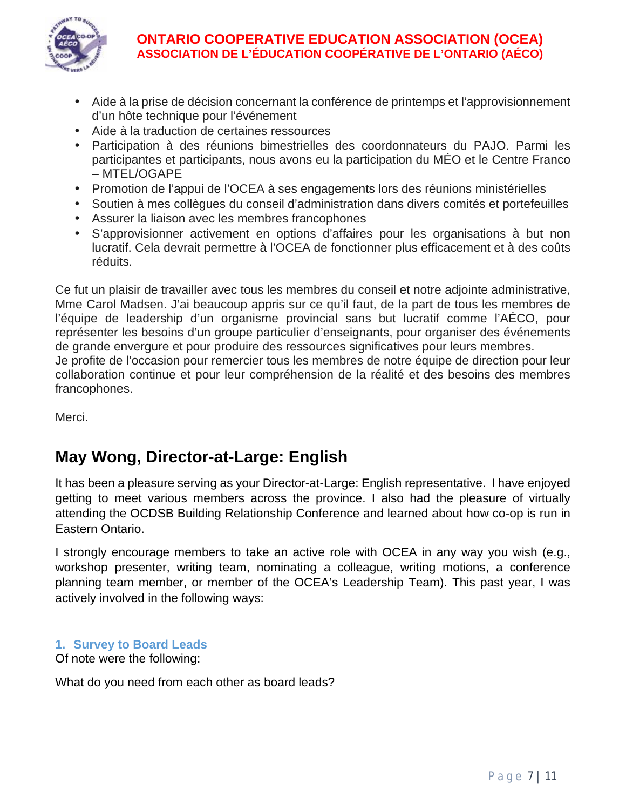

- Aide à la prise de décision concernant la conférence de printemps et l'approvisionnement d'un hôte technique pour l'événement
- Aide à la traduction de certaines ressources
- Participation à des réunions bimestrielles des coordonnateurs du PAJO. Parmi les participantes et participants, nous avons eu la participation du MÉO et le Centre Franco – MTEL/OGAPE
- Promotion de l'appui de l'OCEA à ses engagements lors des réunions ministérielles
- Soutien à mes collègues du conseil d'administration dans divers comités et portefeuilles
- Assurer la liaison avec les membres francophones
- S'approvisionner activement en options d'affaires pour les organisations à but non lucratif. Cela devrait permettre à l'OCEA de fonctionner plus efficacement et à des coûts réduits.

Ce fut un plaisir de travailler avec tous les membres du conseil et notre adjointe administrative, Mme Carol Madsen. J'ai beaucoup appris sur ce qu'il faut, de la part de tous les membres de l'équipe de leadership d'un organisme provincial sans but lucratif comme l'AÉCO, pour représenter les besoins d'un groupe particulier d'enseignants, pour organiser des événements de grande envergure et pour produire des ressources significatives pour leurs membres. Je profite de l'occasion pour remercier tous les membres de notre équipe de direction pour leur

collaboration continue et pour leur compréhension de la réalité et des besoins des membres francophones.

Merci.

# **May Wong, Director-at-Large: English**

It has been a pleasure serving as your Director-at-Large: English representative. I have enjoyed getting to meet various members across the province. I also had the pleasure of virtually attending the OCDSB Building Relationship Conference and learned about how co-op is run in Eastern Ontario.

I strongly encourage members to take an active role with OCEA in any way you wish (e.g., workshop presenter, writing team, nominating a colleague, writing motions, a conference planning team member, or member of the OCEA's Leadership Team). This past year, I was actively involved in the following ways:

#### **1. Survey to Board Leads**

Of note were the following:

What do you need from each other as board leads?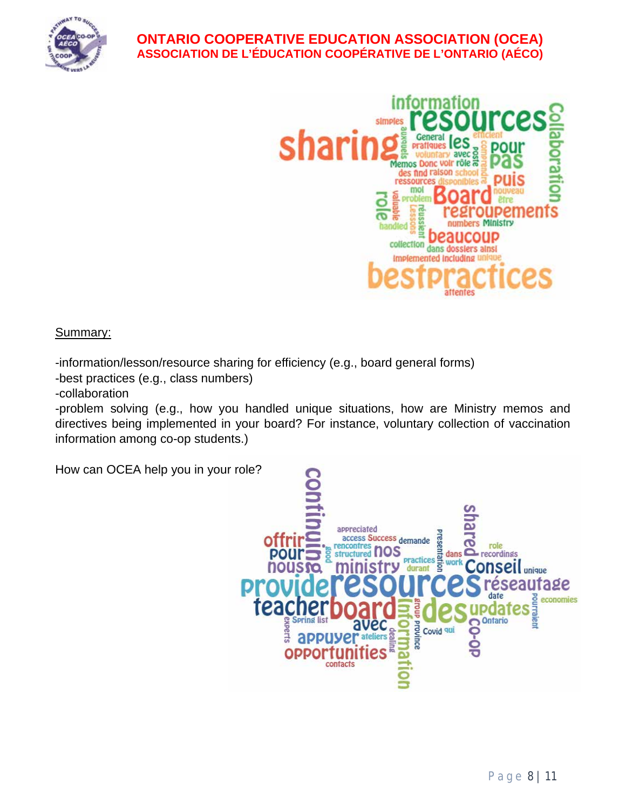



Summary:

-information/lesson/resource sharing for efficiency (e.g., board general forms)

-best practices (e.g., class numbers)

-collaboration

-problem solving (e.g., how you handled unique situations, how are Ministry memos and directives being implemented in your board? For instance, voluntary collection of vaccination information among co-op students.)

How can OCEA help you in your role?

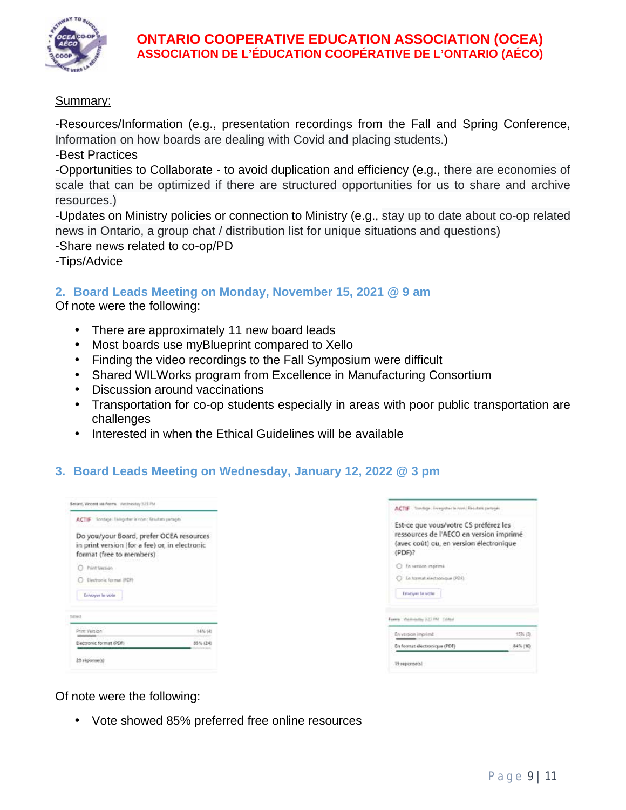

#### Summary:

-Resources/Information (e.g., presentation recordings from the Fall and Spring Conference, Information on how boards are dealing with Covid and placing students.)

-Best Practices

-Opportunities to Collaborate - to avoid duplication and efficiency (e.g., there are economies of scale that can be optimized if there are structured opportunities for us to share and archive resources.)

-Updates on Ministry policies or connection to Ministry (e.g., stay up to date about co-op related news in Ontario, a group chat / distribution list for unique situations and questions)

-Share news related to co-op/PD

-Tips/Advice

#### **2. Board Leads Meeting on Monday, November 15, 2021 @ 9 am**

Of note were the following:

- There are approximately 11 new board leads
- Most boards use myBlueprint compared to Xello
- Finding the video recordings to the Fall Symposium were difficult
- Shared WILWorks program from Excellence in Manufacturing Consortium
- Discussion around vaccinations
- Transportation for co-op students especially in areas with poor public transportation are  $\mathbf{r}$ challenges
- Interested in when the Ethical Guidelines will be available

### **3. Board Leads Meeting on Wednesday, January 12, 2022 @ 3 pm**

| ACTIF Londage Exception is now : limitati partages                                                                     |          |
|------------------------------------------------------------------------------------------------------------------------|----------|
| Do you/your Board, prefer OCEA resources<br>in print version (for a fee) or, in electronic<br>format (free to members) |          |
| Print Verzign                                                                                                          |          |
| C Dechook formal (FDR)                                                                                                 |          |
| <b>Envoyer le vote</b>                                                                                                 |          |
| <b>MITS</b>                                                                                                            |          |
| Print Version                                                                                                          | 14% (4)  |
| Electronic format (PDF).                                                                                               | 85% (24) |

| Est-ce que vous/votre CS préférez les<br>ressources de l'AECO en version imprimé<br>(avec cout) ou, en version électronique<br>(PDF)? |          |
|---------------------------------------------------------------------------------------------------------------------------------------|----------|
| 3 In version imprime                                                                                                                  |          |
| En termat alactronique (PDF)                                                                                                          |          |
| Emicium la vote                                                                                                                       |          |
| Farms Wellistaday 322 FM School                                                                                                       |          |
| En version imprime                                                                                                                    | 15% (3)  |
|                                                                                                                                       | 84% (16) |

Of note were the following:

Vote showed 85% preferred free online resources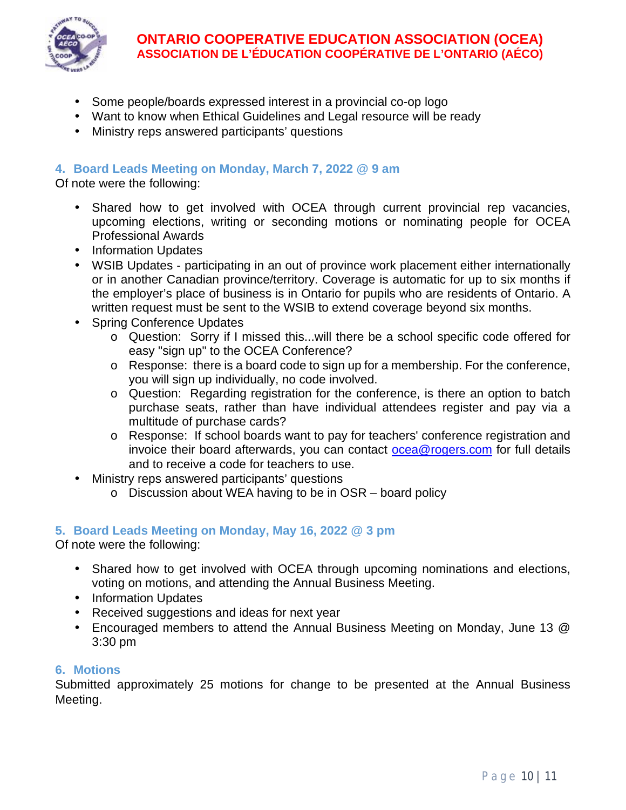

- Some people/boards expressed interest in a provincial co-op logo
- Want to know when Ethical Guidelines and Legal resource will be ready
- Ministry reps answered participants' questions

#### **4. Board Leads Meeting on Monday, March 7, 2022 @ 9 am**

Of note were the following:

- Shared how to get involved with OCEA through current provincial rep vacancies, upcoming elections, writing or seconding motions or nominating people for OCEA Professional Awards
- . Information Updates
- WSIB Updates participating in an out of province work placement either internationally or in another Canadian province/territory. Coverage is automatic for up to six months if the employer's place of business is in Ontario for pupils who are residents of Ontario. A written request must be sent to the WSIB to extend coverage beyond six months.
- Spring Conference Updates
	- o Question: Sorry if I missed this...will there be a school specific code offered for easy "sign up" to the OCEA Conference?
	- o Response: there is a board code to sign up for a membership. For the conference, you will sign up individually, no code involved.
	- o Question: Regarding registration for the conference, is there an option to batch purchase seats, rather than have individual attendees register and pay via a multitude of purchase cards?
	- o Response: If school boards want to pay for teachers' conference registration and invoice their board afterwards, you can contact [ocea@rogers.com](about:blank) for full details and to receive a code for teachers to use.
- Ministry reps answered participants' questions
	- o Discussion about WEA having to be in OSR board policy

#### **5. Board Leads Meeting on Monday, May 16, 2022 @ 3 pm**

Of note were the following:

- Shared how to get involved with OCEA through upcoming nominations and elections, voting on motions, and attending the Annual Business Meeting.
- . Information Updates
- Received suggestions and ideas for next year
- Encouraged members to attend the Annual Business Meeting on Monday, June 13 @ 3:30 pm

#### **6. Motions**

Submitted approximately 25 motions for change to be presented at the Annual Business Meeting.